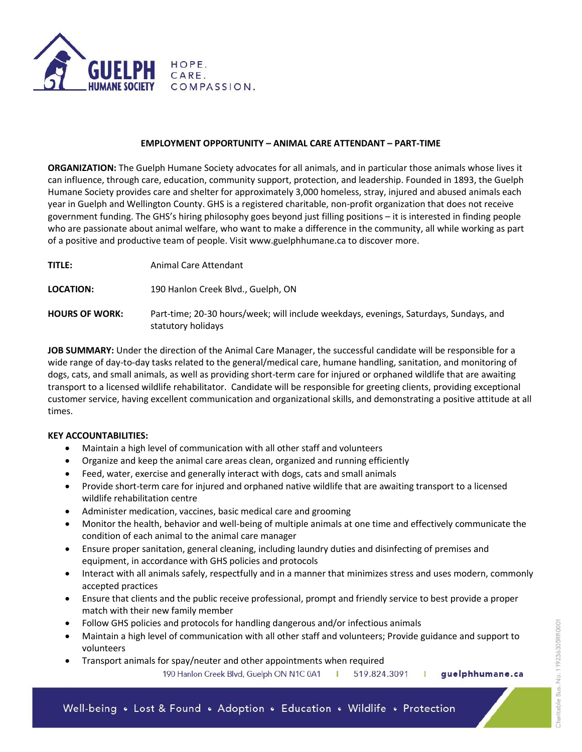

## **EMPLOYMENT OPPORTUNITY – ANIMAL CARE ATTENDANT – PART-TIME**

**ORGANIZATION:** The Guelph Humane Society advocates for all animals, and in particular those animals whose lives it can influence, through care, education, community support, protection, and leadership. Founded in 1893, the Guelph Humane Society provides care and shelter for approximately 3,000 homeless, stray, injured and abused animals each year in Guelph and Wellington County. GHS is a registered charitable, non-profit organization that does not receive government funding. The GHS's hiring philosophy goes beyond just filling positions – it is interested in finding people who are passionate about animal welfare, who want to make a difference in the community, all while working as part of a positive and productive team of people. Visit www.guelphhumane.ca to discover more.

**TITLE:** Animal Care Attendant

**LOCATION:** 190 Hanlon Creek Blvd., Guelph, ON

**HOURS OF WORK:** Part-time; 20-30 hours/week; will include weekdays, evenings, Saturdays, Sundays, and statutory holidays

**JOB SUMMARY:** Under the direction of the Animal Care Manager, the successful candidate will be responsible for a wide range of day-to-day tasks related to the general/medical care, humane handling, sanitation, and monitoring of dogs, cats, and small animals, as well as providing short-term care for injured or orphaned wildlife that are awaiting transport to a licensed wildlife rehabilitator. Candidate will be responsible for greeting clients, providing exceptional customer service, having excellent communication and organizational skills, and demonstrating a positive attitude at all times.

### **KEY ACCOUNTABILITIES:**

- Maintain a high level of communication with all other staff and volunteers
- Organize and keep the animal care areas clean, organized and running efficiently
- Feed, water, exercise and generally interact with dogs, cats and small animals
- Provide short-term care for injured and orphaned native wildlife that are awaiting transport to a licensed wildlife rehabilitation centre
- Administer medication, vaccines, basic medical care and grooming
- Monitor the health, behavior and well-being of multiple animals at one time and effectively communicate the condition of each animal to the animal care manager
- Ensure proper sanitation, general cleaning, including laundry duties and disinfecting of premises and equipment, in accordance with GHS policies and protocols
- Interact with all animals safely, respectfully and in a manner that minimizes stress and uses modern, commonly accepted practices
- Ensure that clients and the public receive professional, prompt and friendly service to best provide a proper match with their new family member
- Follow GHS policies and protocols for handling dangerous and/or infectious animals
- Maintain a high level of communication with all other staff and volunteers; Provide guidance and support to volunteers
- Transport animals for spay/neuter and other appointments when required

190 Hanlon Creek Blvd, Guelph ON N1C 0A1 519.824.3091 | guelphhumane.ca